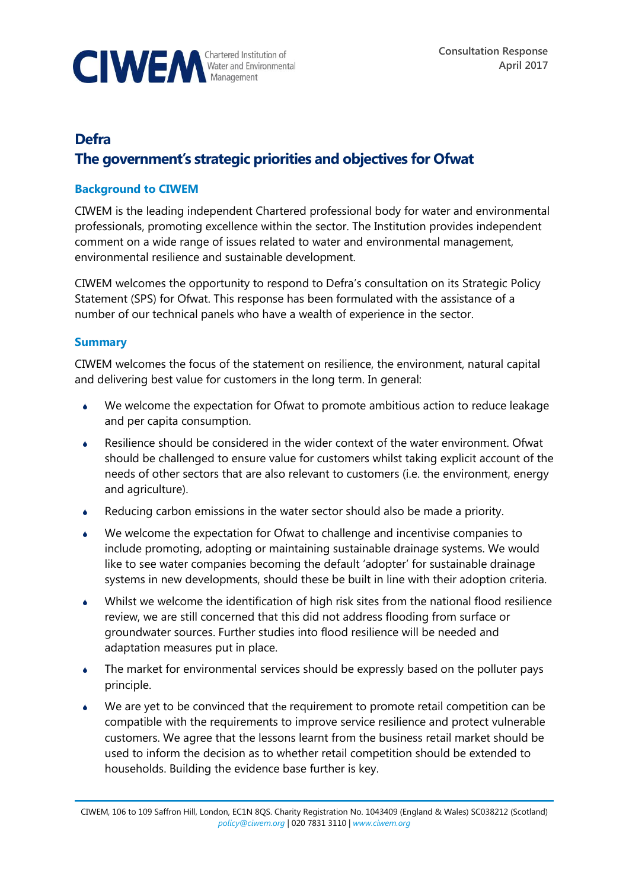

# **Defra**

# **The government's strategic priorities and objectives for Ofwat**

# **Background to CIWEM**

CIWEM is the leading independent Chartered professional body for water and environmental professionals, promoting excellence within the sector. The Institution provides independent comment on a wide range of issues related to water and environmental management, environmental resilience and sustainable development.

CIWEM welcomes the opportunity to respond to Defra's consultation on its Strategic Policy Statement (SPS) for Ofwat. This response has been formulated with the assistance of a number of our technical panels who have a wealth of experience in the sector.

# **Summary**

CIWEM welcomes the focus of the statement on resilience, the environment, natural capital and delivering best value for customers in the long term. In general:

- We welcome the expectation for Ofwat to promote ambitious action to reduce leakage and per capita consumption.
- Resilience should be considered in the wider context of the water environment. Ofwat should be challenged to ensure value for customers whilst taking explicit account of the needs of other sectors that are also relevant to customers (i.e. the environment, energy and agriculture).
- Reducing carbon emissions in the water sector should also be made a priority.
- We welcome the expectation for Ofwat to challenge and incentivise companies to include promoting, adopting or maintaining sustainable drainage systems. We would like to see water companies becoming the default 'adopter' for sustainable drainage systems in new developments, should these be built in line with their adoption criteria.
- Whilst we welcome the identification of high risk sites from the national flood resilience review, we are still concerned that this did not address flooding from surface or groundwater sources. Further studies into flood resilience will be needed and adaptation measures put in place.
- The market for environmental services should be expressly based on the polluter pays principle.
- We are yet to be convinced that the requirement to promote retail competition can be compatible with the requirements to improve service resilience and protect vulnerable customers. We agree that the lessons learnt from the business retail market should be used to inform the decision as to whether retail competition should be extended to households. Building the evidence base further is key.

CIWEM, 106 to 109 Saffron Hill, London, EC1N 8QS. Charity Registration No. 1043409 (England & Wales) SC038212 (Scotland) *[policy@ciwem.org](mailto:policy@ciwem.org)* | 020 7831 3110 | *[www.ciwem.org](http://www.ciwem.org/)*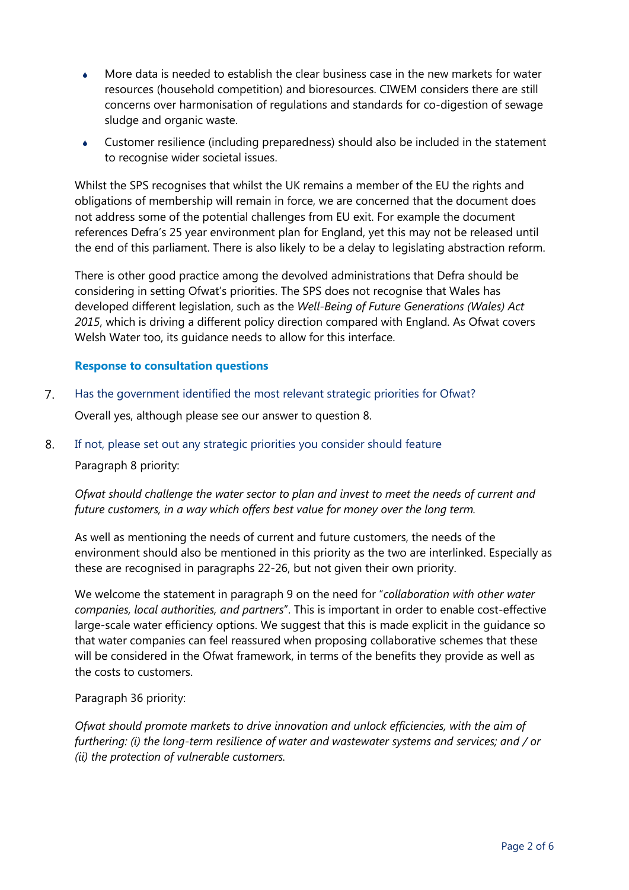- More data is needed to establish the clear business case in the new markets for water resources (household competition) and bioresources. CIWEM considers there are still concerns over harmonisation of regulations and standards for co-digestion of sewage sludge and organic waste.
- Customer resilience (including preparedness) should also be included in the statement to recognise wider societal issues.

Whilst the SPS recognises that whilst the UK remains a member of the EU the rights and obligations of membership will remain in force, we are concerned that the document does not address some of the potential challenges from EU exit. For example the document references Defra's 25 year environment plan for England, yet this may not be released until the end of this parliament. There is also likely to be a delay to legislating abstraction reform.

There is other good practice among the devolved administrations that Defra should be considering in setting Ofwat's priorities. The SPS does not recognise that Wales has developed different legislation, such as the *Well-Being of Future Generations (Wales) Act 2015*, which is driving a different policy direction compared with England. As Ofwat covers Welsh Water too, its guidance needs to allow for this interface.

### **Response to consultation questions**

 $7<sub>1</sub>$ Has the government identified the most relevant strategic priorities for Ofwat?

Overall yes, although please see our answer to question 8.

8. If not, please set out any strategic priorities you consider should feature

Paragraph 8 priority:

*Ofwat should challenge the water sector to plan and invest to meet the needs of current and future customers, in a way which offers best value for money over the long term.*

As well as mentioning the needs of current and future customers, the needs of the environment should also be mentioned in this priority as the two are interlinked. Especially as these are recognised in paragraphs 22-26, but not given their own priority.

We welcome the statement in paragraph 9 on the need for "*collaboration with other water companies, local authorities, and partners*". This is important in order to enable cost-effective large-scale water efficiency options. We suggest that this is made explicit in the guidance so that water companies can feel reassured when proposing collaborative schemes that these will be considered in the Ofwat framework, in terms of the benefits they provide as well as the costs to customers.

Paragraph 36 priority:

*Ofwat should promote markets to drive innovation and unlock efficiencies, with the aim of furthering: (i) the long-term resilience of water and wastewater systems and services; and / or (ii) the protection of vulnerable customers.*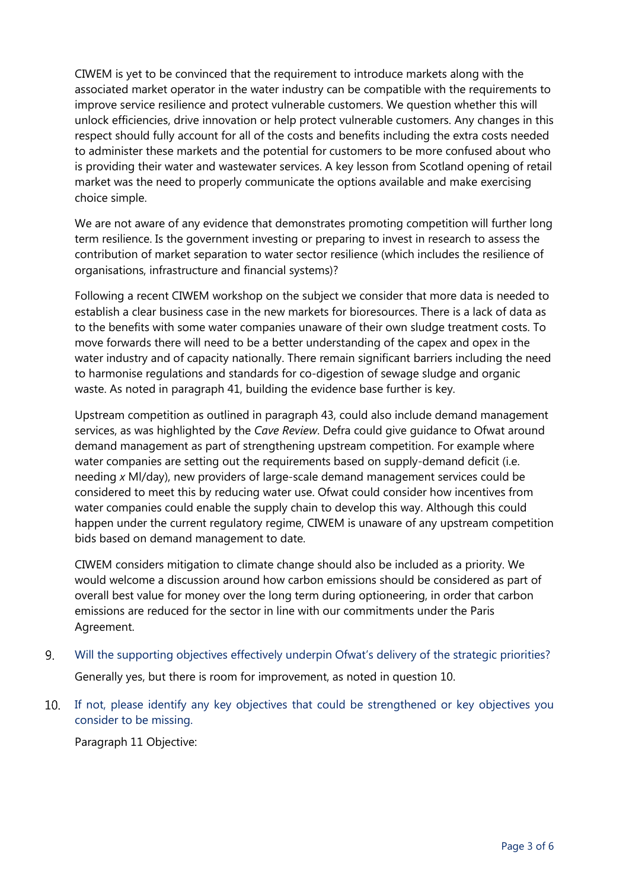CIWEM is yet to be convinced that the requirement to introduce markets along with the associated market operator in the water industry can be compatible with the requirements to improve service resilience and protect vulnerable customers. We question whether this will unlock efficiencies, drive innovation or help protect vulnerable customers. Any changes in this respect should fully account for all of the costs and benefits including the extra costs needed to administer these markets and the potential for customers to be more confused about who is providing their water and wastewater services. A key lesson from Scotland opening of retail market was the need to properly communicate the options available and make exercising choice simple.

We are not aware of any evidence that demonstrates promoting competition will further long term resilience. Is the government investing or preparing to invest in research to assess the contribution of market separation to water sector resilience (which includes the resilience of organisations, infrastructure and financial systems)?

Following a recent CIWEM workshop on the subject we consider that more data is needed to establish a clear business case in the new markets for bioresources. There is a lack of data as to the benefits with some water companies unaware of their own sludge treatment costs. To move forwards there will need to be a better understanding of the capex and opex in the water industry and of capacity nationally. There remain significant barriers including the need to harmonise regulations and standards for co-digestion of sewage sludge and organic waste. As noted in paragraph 41, building the evidence base further is key.

Upstream competition as outlined in paragraph 43, could also include demand management services, as was highlighted by the *Cave Review*. Defra could give guidance to Ofwat around demand management as part of strengthening upstream competition. For example where water companies are setting out the requirements based on supply-demand deficit (i.e. needing *x* Ml/day), new providers of large-scale demand management services could be considered to meet this by reducing water use. Ofwat could consider how incentives from water companies could enable the supply chain to develop this way. Although this could happen under the current regulatory regime, CIWEM is unaware of any upstream competition bids based on demand management to date.

CIWEM considers mitigation to climate change should also be included as a priority. We would welcome a discussion around how carbon emissions should be considered as part of overall best value for money over the long term during optioneering, in order that carbon emissions are reduced for the sector in line with our commitments under the Paris Agreement.

- Will the supporting objectives effectively underpin Ofwat's delivery of the strategic priorities? 9. Generally yes, but there is room for improvement, as noted in question 10.
- $10.$ If not, please identify any key objectives that could be strengthened or key objectives you consider to be missing.

Paragraph 11 Objective: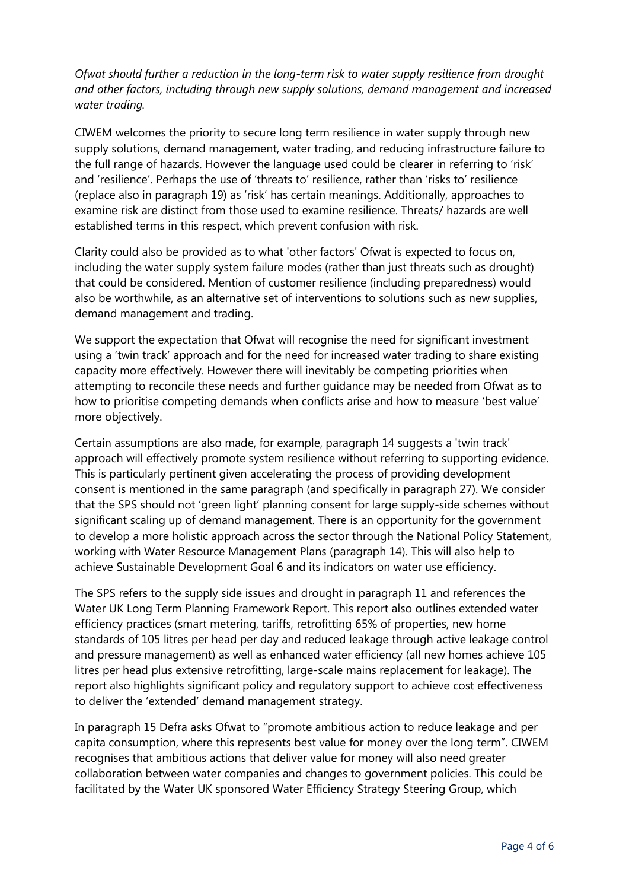*Ofwat should further a reduction in the long-term risk to water supply resilience from drought and other factors, including through new supply solutions, demand management and increased water trading.*

CIWEM welcomes the priority to secure long term resilience in water supply through new supply solutions, demand management, water trading, and reducing infrastructure failure to the full range of hazards. However the language used could be clearer in referring to 'risk' and 'resilience'. Perhaps the use of 'threats to' resilience, rather than 'risks to' resilience (replace also in paragraph 19) as 'risk' has certain meanings. Additionally, approaches to examine risk are distinct from those used to examine resilience. Threats/ hazards are well established terms in this respect, which prevent confusion with risk.

Clarity could also be provided as to what 'other factors' Ofwat is expected to focus on, including the water supply system failure modes (rather than just threats such as drought) that could be considered. Mention of customer resilience (including preparedness) would also be worthwhile, as an alternative set of interventions to solutions such as new supplies, demand management and trading.

We support the expectation that Ofwat will recognise the need for significant investment using a 'twin track' approach and for the need for increased water trading to share existing capacity more effectively. However there will inevitably be competing priorities when attempting to reconcile these needs and further guidance may be needed from Ofwat as to how to prioritise competing demands when conflicts arise and how to measure 'best value' more objectively.

Certain assumptions are also made, for example, paragraph 14 suggests a 'twin track' approach will effectively promote system resilience without referring to supporting evidence. This is particularly pertinent given accelerating the process of providing development consent is mentioned in the same paragraph (and specifically in paragraph 27). We consider that the SPS should not 'green light' planning consent for large supply-side schemes without significant scaling up of demand management. There is an opportunity for the government to develop a more holistic approach across the sector through the National Policy Statement, working with Water Resource Management Plans (paragraph 14). This will also help to achieve Sustainable Development Goal 6 and its indicators on water use efficiency.

The SPS refers to the supply side issues and drought in paragraph 11 and references the Water UK Long Term Planning Framework Report. This report also outlines extended water efficiency practices (smart metering, tariffs, retrofitting 65% of properties, new home standards of 105 litres per head per day and reduced leakage through active leakage control and pressure management) as well as enhanced water efficiency (all new homes achieve 105 litres per head plus extensive retrofitting, large-scale mains replacement for leakage). The report also highlights significant policy and regulatory support to achieve cost effectiveness to deliver the 'extended' demand management strategy.

In paragraph 15 Defra asks Ofwat to "promote ambitious action to reduce leakage and per capita consumption, where this represents best value for money over the long term". CIWEM recognises that ambitious actions that deliver value for money will also need greater collaboration between water companies and changes to government policies. This could be facilitated by the Water UK sponsored Water Efficiency Strategy Steering Group, which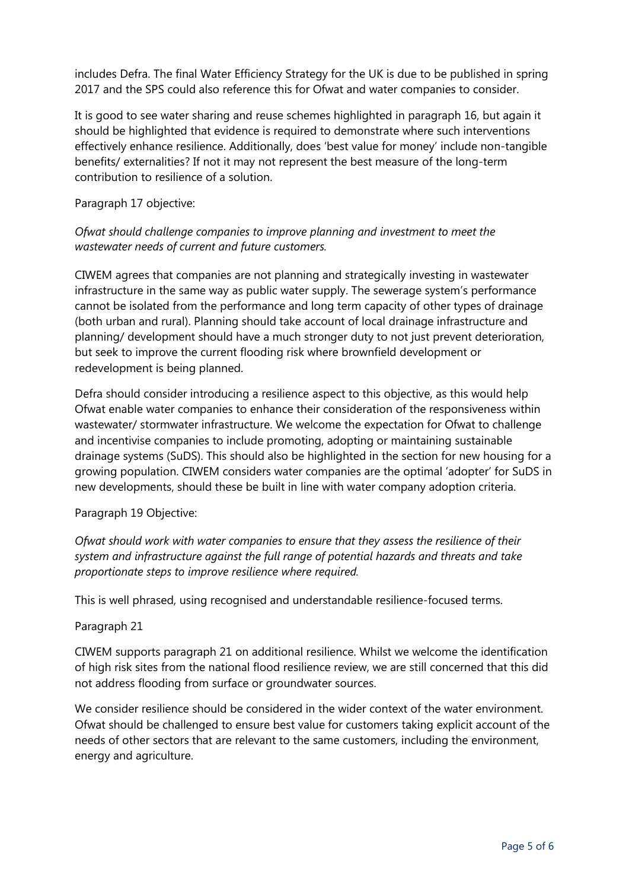includes Defra. The final Water Efficiency Strategy for the UK is due to be published in spring 2017 and the SPS could also reference this for Ofwat and water companies to consider.

It is good to see water sharing and reuse schemes highlighted in paragraph 16, but again it should be highlighted that evidence is required to demonstrate where such interventions effectively enhance resilience. Additionally, does 'best value for money' include non-tangible benefits/ externalities? If not it may not represent the best measure of the long-term contribution to resilience of a solution.

### Paragraph 17 objective:

# *Ofwat should challenge companies to improve planning and investment to meet the wastewater needs of current and future customers.*

CIWEM agrees that companies are not planning and strategically investing in wastewater infrastructure in the same way as public water supply. The sewerage system's performance cannot be isolated from the performance and long term capacity of other types of drainage (both urban and rural). Planning should take account of local drainage infrastructure and planning/ development should have a much stronger duty to not just prevent deterioration, but seek to improve the current flooding risk where brownfield development or redevelopment is being planned.

Defra should consider introducing a resilience aspect to this objective, as this would help Ofwat enable water companies to enhance their consideration of the responsiveness within wastewater/ stormwater infrastructure. We welcome the expectation for Ofwat to challenge and incentivise companies to include promoting, adopting or maintaining sustainable drainage systems (SuDS). This should also be highlighted in the section for new housing for a growing population. CIWEM considers water companies are the optimal 'adopter' for SuDS in new developments, should these be built in line with water company adoption criteria.

Paragraph 19 Objective:

*Ofwat should work with water companies to ensure that they assess the resilience of their system and infrastructure against the full range of potential hazards and threats and take proportionate steps to improve resilience where required.*

This is well phrased, using recognised and understandable resilience-focused terms.

#### Paragraph 21

CIWEM supports paragraph 21 on additional resilience. Whilst we welcome the identification of high risk sites from the national flood resilience review, we are still concerned that this did not address flooding from surface or groundwater sources.

We consider resilience should be considered in the wider context of the water environment. Ofwat should be challenged to ensure best value for customers taking explicit account of the needs of other sectors that are relevant to the same customers, including the environment, energy and agriculture.